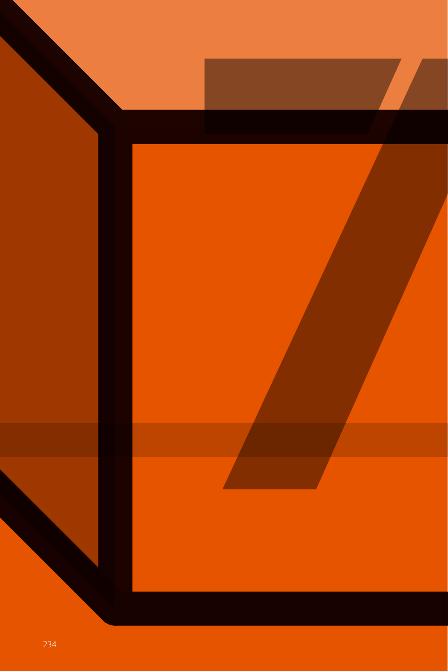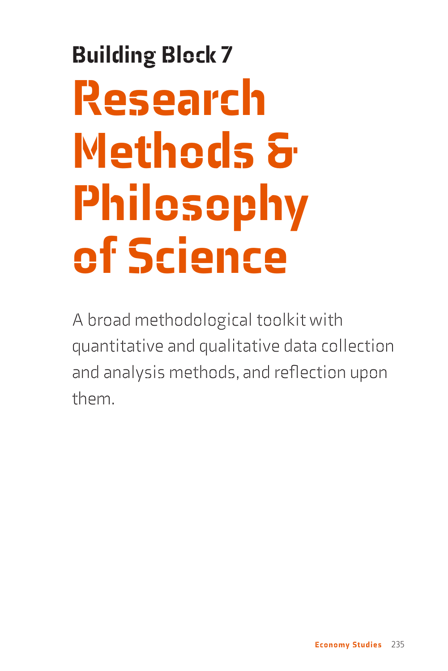# Building Block 7 Research Methods & Philosophy of Science

A broad methodological toolkit with quantitative and qualitative data collection and analysis methods, and reflection upon them.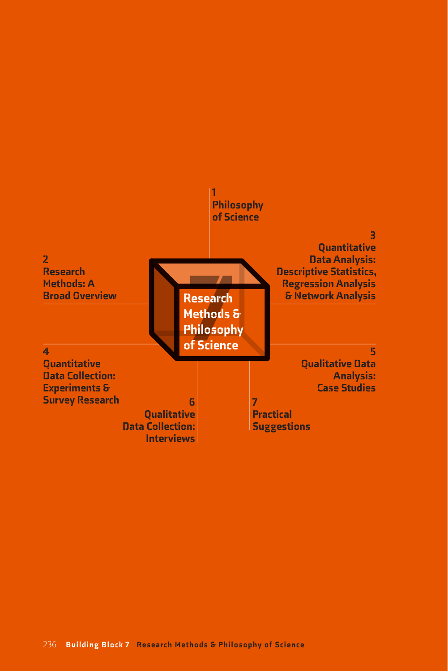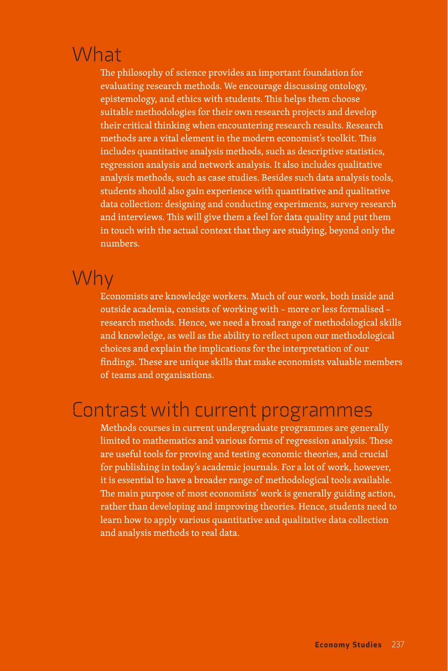#### What

The philosophy of science provides an important foundation for evaluating research methods. We encourage discussing ontology, epistemology, and ethics with students. This helps them choose suitable methodologies for their own research projects and develop their critical thinking when encountering research results. Research methods are a vital element in the modern economist's toolkit. This includes quantitative analysis methods, such as descriptive statistics, regression analysis and network analysis. It also includes qualitative analysis methods, such as case studies. Besides such data analysis tools, students should also gain experience with quantitative and qualitative data collection: designing and conducting experiments, survey research and interviews. This will give them a feel for data quality and put them in touch with the actual context that they are studying, beyond only the numbers.

#### Why

Economists are knowledge workers. Much of our work, both inside and outside academia, consists of working with – more or less formalised – research methods. Hence, we need a broad range of methodological skills and knowledge, as well as the ability to reflect upon our methodological choices and explain the implications for the interpretation of our findings. These are unique skills that make economists valuable members of teams and organisations.

#### Contrast with current programmes

Methods courses in current undergraduate programmes are generally limited to mathematics and various forms of regression analysis. These are useful tools for proving and testing economic theories, and crucial for publishing in today's academic journals. For a lot of work, however, it is essential to have a broader range of methodological tools available. The main purpose of most economists' work is generally guiding action, rather than developing and improving theories. Hence, students need to learn how to apply various quantitative and qualitative data collection and analysis methods to real data.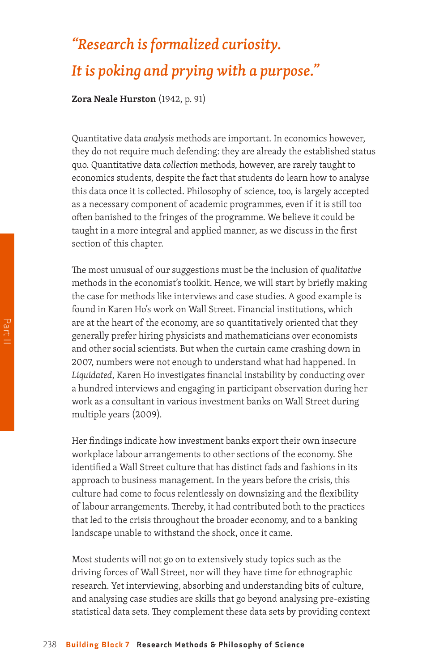#### *"Research is formalized curiosity. It is poking and prying with a purpose."*

**Zora Neale Hurston** (1942, p. 91)

Quantitative data *analysis* methods are important. In economics however, they do not require much defending: they are already the established status quo. Quantitative data *collection* methods, however, are rarely taught to economics students, despite the fact that students do learn how to analyse this data once it is collected. Philosophy of science, too, is largely accepted as a necessary component of academic programmes, even if it is still too often banished to the fringes of the programme. We believe it could be taught in a more integral and applied manner, as we discuss in the first section of this chapter.

The most unusual of our suggestions must be the inclusion of *qualitative* methods in the economist's toolkit. Hence, we will start by briefly making the case for methods like interviews and case studies. A good example is found in Karen Ho's work on Wall Street. Financial institutions, which are at the heart of the economy, are so quantitatively oriented that they generally prefer hiring physicists and mathematicians over economists and other social scientists. But when the curtain came crashing down in 2007, numbers were not enough to understand what had happened. In *Liquidated*, Karen Ho investigates financial instability by conducting over a hundred interviews and engaging in participant observation during her work as a consultant in various investment banks on Wall Street during multiple years (2009).

Her findings indicate how investment banks export their own insecure workplace labour arrangements to other sections of the economy. She identified a Wall Street culture that has distinct fads and fashions in its approach to business management. In the years before the crisis, this culture had come to focus relentlessly on downsizing and the flexibility of labour arrangements. Thereby, it had contributed both to the practices that led to the crisis throughout the broader economy, and to a banking landscape unable to withstand the shock, once it came.

Most students will not go on to extensively study topics such as the driving forces of Wall Street, nor will they have time for ethnographic research. Yet interviewing, absorbing and understanding bits of culture, and analysing case studies are skills that go beyond analysing pre-existing statistical data sets. They complement these data sets by providing context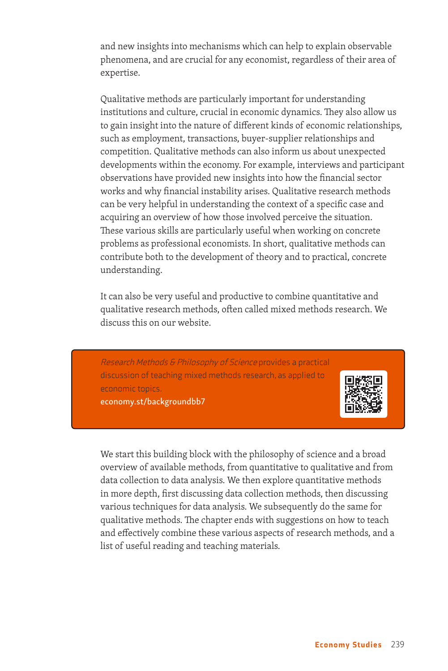and new insights into mechanisms which can help to explain observable phenomena, and are crucial for any economist, regardless of their area of expertise.

Qualitative methods are particularly important for understanding institutions and culture, crucial in economic dynamics. They also allow us to gain insight into the nature of different kinds of economic relationships, such as employment, transactions, buyer-supplier relationships and competition. Qualitative methods can also inform us about unexpected developments within the economy. For example, interviews and participant observations have provided new insights into how the financial sector works and why financial instability arises. Qualitative research methods can be very helpful in understanding the context of a specific case and acquiring an overview of how those involved perceive the situation. These various skills are particularly useful when working on concrete problems as professional economists. In short, qualitative methods can contribute both to the development of theory and to practical, concrete understanding.

It can also be very useful and productive to combine quantitative and qualitative research methods, often called mixed methods research. We discuss this on our website.

Research Methods & Philosophy of Science provides a practical discussion of teaching mixed methods research, as applied to economic topics.

economy.st/backgroundbb7



We start this building block with the philosophy of science and a broad overview of available methods, from quantitative to qualitative and from data collection to data analysis. We then explore quantitative methods in more depth, first discussing data collection methods, then discussing various techniques for data analysis. We subsequently do the same for qualitative methods. The chapter ends with suggestions on how to teach and effectively combine these various aspects of research methods, and a list of useful reading and teaching materials.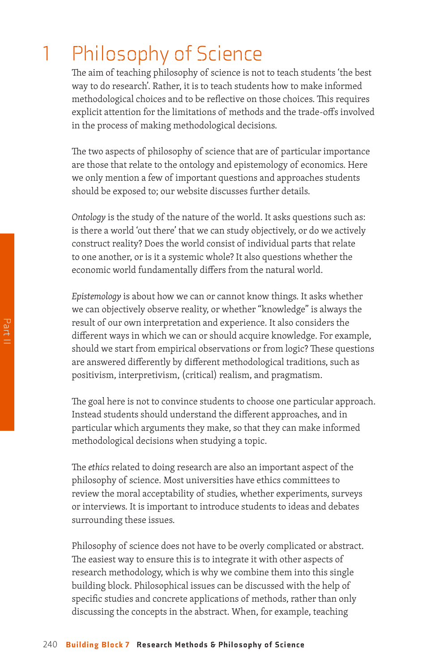## 1 Philosophy of Science

The aim of teaching philosophy of science is not to teach students 'the best way to do research'. Rather, it is to teach students how to make informed methodological choices and to be reflective on those choices. This requires explicit attention for the limitations of methods and the trade-offs involved in the process of making methodological decisions.

The two aspects of philosophy of science that are of particular importance are those that relate to the ontology and epistemology of economics. Here we only mention a few of important questions and approaches students should be exposed to; our website discusses further details.

*Ontology* is the study of the nature of the world. It asks questions such as: is there a world 'out there' that we can study objectively, or do we actively construct reality? Does the world consist of individual parts that relate to one another, or is it a systemic whole? It also questions whether the economic world fundamentally differs from the natural world.

*Epistemology* is about how we can or cannot know things. It asks whether we can objectively observe reality, or whether "knowledge" is always the result of our own interpretation and experience. It also considers the different ways in which we can or should acquire knowledge. For example, should we start from empirical observations or from logic? These questions are answered differently by different methodological traditions, such as positivism, interpretivism, (critical) realism, and pragmatism.

The goal here is not to convince students to choose one particular approach. Instead students should understand the different approaches, and in particular which arguments they make, so that they can make informed methodological decisions when studying a topic.

The *ethics* related to doing research are also an important aspect of the philosophy of science. Most universities have ethics committees to review the moral acceptability of studies, whether experiments, surveys or interviews. It is important to introduce students to ideas and debates surrounding these issues.

Philosophy of science does not have to be overly complicated or abstract. The easiest way to ensure this is to integrate it with other aspects of research methodology, which is why we combine them into this single building block. Philosophical issues can be discussed with the help of specific studies and concrete applications of methods, rather than only discussing the concepts in the abstract. When, for example, teaching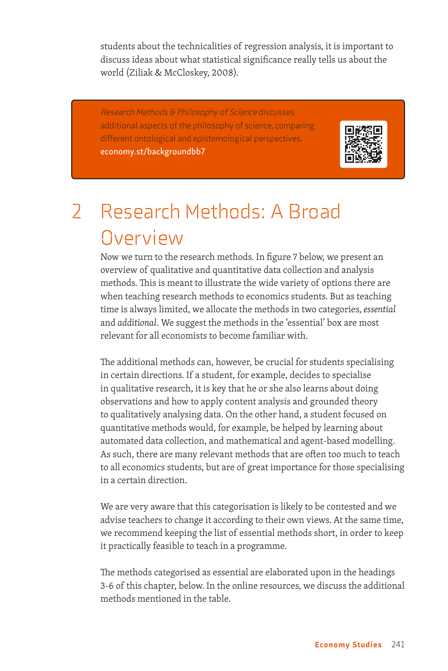students about the technicalities of regression analysis, it is important to discuss ideas about what statistical significance really tells us about the world (Ziliak & McCloskey, 2008).

Research Methods & Philosophy of Science discusses additional aspects of the philosophy of science, comparing different ontological and epistemological perspectives. economy.st/backgroundbb7



## 2 Research Methods: A Broad **Overview**

Now we turn to the research methods. In figure 7 below, we present an overview of qualitative and quantitative data collection and analysis methods. This is meant to illustrate the wide variety of options there are when teaching research methods to economics students. But as teaching time is always limited, we allocate the methods in two categories, *essential* and *additional*. We suggest the methods in the 'essential' box are most relevant for all economists to become familiar with.

The additional methods can, however, be crucial for students specialising in certain directions. If a student, for example, decides to specialise in qualitative research, it is key that he or she also learns about doing observations and how to apply content analysis and grounded theory to qualitatively analysing data. On the other hand, a student focused on quantitative methods would, for example, be helped by learning about automated data collection, and mathematical and agent-based modelling. As such, there are many relevant methods that are often too much to teach to all economics students, but are of great importance for those specialising in a certain direction.

We are very aware that this categorisation is likely to be contested and we advise teachers to change it according to their own views. At the same time, we recommend keeping the list of essential methods short, in order to keep it practically feasible to teach in a programme.

The methods categorised as essential are elaborated upon in the headings 3-6 of this chapter, below. In the online resources, we discuss the additional methods mentioned in the table.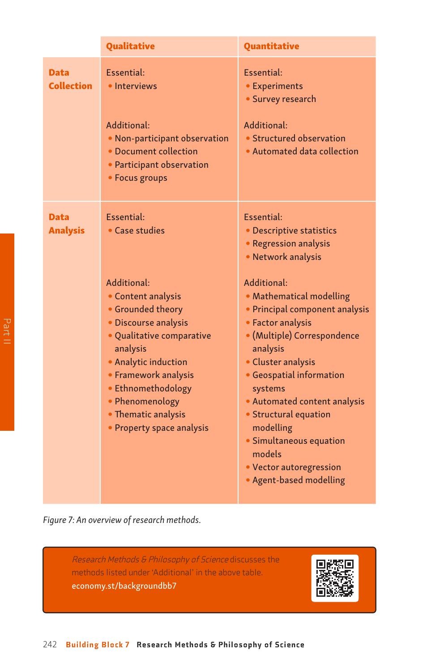|                                  | Qualitative                                                                                                                                                                                                                                                                                                 | Quantitative                                                                                                                                                                                                                                                                                                                                                                                                                                                            |
|----------------------------------|-------------------------------------------------------------------------------------------------------------------------------------------------------------------------------------------------------------------------------------------------------------------------------------------------------------|-------------------------------------------------------------------------------------------------------------------------------------------------------------------------------------------------------------------------------------------------------------------------------------------------------------------------------------------------------------------------------------------------------------------------------------------------------------------------|
| <b>Data</b><br><b>Collection</b> | Essential:<br>· Interviews<br>Additional:<br>· Non-participant observation<br>• Document collection<br>• Participant observation<br>• Focus groups                                                                                                                                                          | Essential:<br>• Experiments<br>• Survey research<br>Additional:<br>• Structured observation<br>• Automated data collection                                                                                                                                                                                                                                                                                                                                              |
| <b>Data</b><br><b>Analysis</b>   | <b>Essential:</b><br>• Case studies<br>Additional:<br>• Content analysis<br>• Grounded theory<br>· Discourse analysis<br>· Qualitative comparative<br>analysis<br>• Analytic induction<br>• Framework analysis<br>• Ethnomethodology<br>• Phenomenology<br>• Thematic analysis<br>• Property space analysis | <b>Essential:</b><br>• Descriptive statistics<br>• Regression analysis<br>• Network analysis<br>Additional:<br>• Mathematical modelling<br>• Principal component analysis<br>• Factor analysis<br>• (Multiple) Correspondence<br>analysis<br>• Cluster analysis<br>• Geospatial information<br>systems<br>• Automated content analysis<br>• Structural equation<br>modelling<br>• Simultaneous equation<br>models<br>• Vector autoregression<br>· Agent-based modelling |

*Figure 7: An overview of research methods.*

Research Methods & Philosophy of Science discusses the methods listed under 'Additional' in the above table. economy.st/backgroundbb7

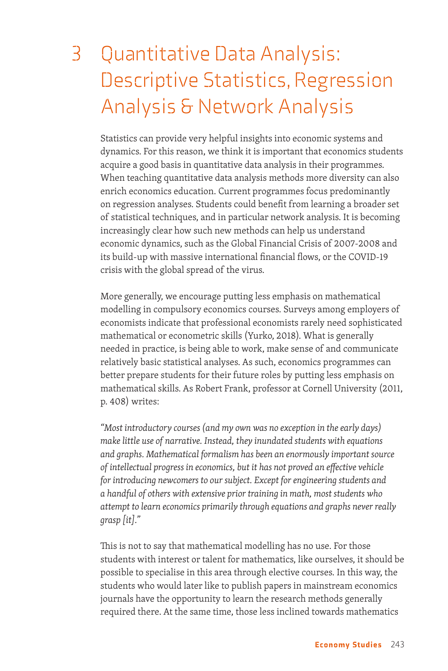## 3 Quantitative Data Analysis: Descriptive Statistics, Regression Analysis & Network Analysis

Statistics can provide very helpful insights into economic systems and dynamics. For this reason, we think it is important that economics students acquire a good basis in quantitative data analysis in their programmes. When teaching quantitative data analysis methods more diversity can also enrich economics education. Current programmes focus predominantly on regression analyses. Students could benefit from learning a broader set of statistical techniques, and in particular network analysis. It is becoming increasingly clear how such new methods can help us understand economic dynamics, such as the Global Financial Crisis of 2007-2008 and its build-up with massive international financial flows, or the COVID-19 crisis with the global spread of the virus.

More generally, we encourage putting less emphasis on mathematical modelling in compulsory economics courses. Surveys among employers of economists indicate that professional economists rarely need sophisticated mathematical or econometric skills (Yurko, 2018). What is generally needed in practice, is being able to work, make sense of and communicate relatively basic statistical analyses. As such, economics programmes can better prepare students for their future roles by putting less emphasis on mathematical skills. As Robert Frank, professor at Cornell University (2011, p. 408) writes:

*"Most introductory courses (and my own was no exception in the early days) make little use of narrative. Instead, they inundated students with equations and graphs. Mathematical formalism has been an enormously important source of intellectual progress in economics, but it has not proved an effective vehicle for introducing newcomers to our subject. Except for engineering students and a handful of others with extensive prior training in math, most students who attempt to learn economics primarily through equations and graphs never really grasp [it]."*

This is not to say that mathematical modelling has no use. For those students with interest or talent for mathematics, like ourselves, it should be possible to specialise in this area through elective courses. In this way, the students who would later like to publish papers in mainstream economics journals have the opportunity to learn the research methods generally required there. At the same time, those less inclined towards mathematics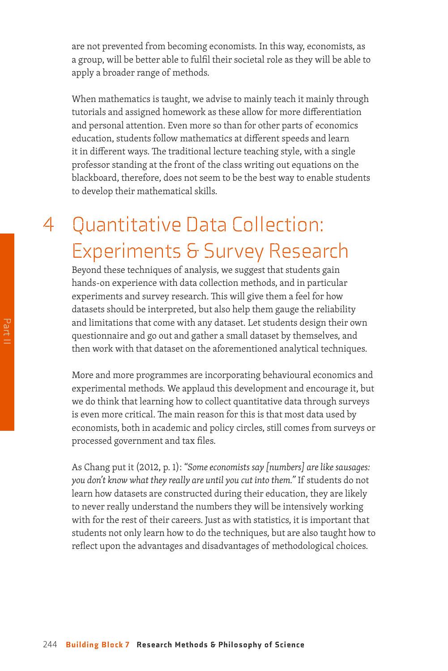are not prevented from becoming economists. In this way, economists, as a group, will be better able to fulfil their societal role as they will be able to apply a broader range of methods.

When mathematics is taught, we advise to mainly teach it mainly through tutorials and assigned homework as these allow for more differentiation and personal attention. Even more so than for other parts of economics education, students follow mathematics at different speeds and learn it in different ways. The traditional lecture teaching style, with a single professor standing at the front of the class writing out equations on the blackboard, therefore, does not seem to be the best way to enable students to develop their mathematical skills.

### 4 Quantitative Data Collection: Experiments & Survey Research

Beyond these techniques of analysis, we suggest that students gain hands-on experience with data collection methods, and in particular experiments and survey research. This will give them a feel for how datasets should be interpreted, but also help them gauge the reliability and limitations that come with any dataset. Let students design their own questionnaire and go out and gather a small dataset by themselves, and then work with that dataset on the aforementioned analytical techniques.

More and more programmes are incorporating behavioural economics and experimental methods. We applaud this development and encourage it, but we do think that learning how to collect quantitative data through surveys is even more critical. The main reason for this is that most data used by economists, both in academic and policy circles, still comes from surveys or processed government and tax files.

As Chang put it (2012, p. 1): *"Some economists say [numbers] are like sausages: you don't know what they really are until you cut into them."* If students do not learn how datasets are constructed during their education, they are likely to never really understand the numbers they will be intensively working with for the rest of their careers. Just as with statistics, it is important that students not only learn how to do the techniques, but are also taught how to reflect upon the advantages and disadvantages of methodological choices.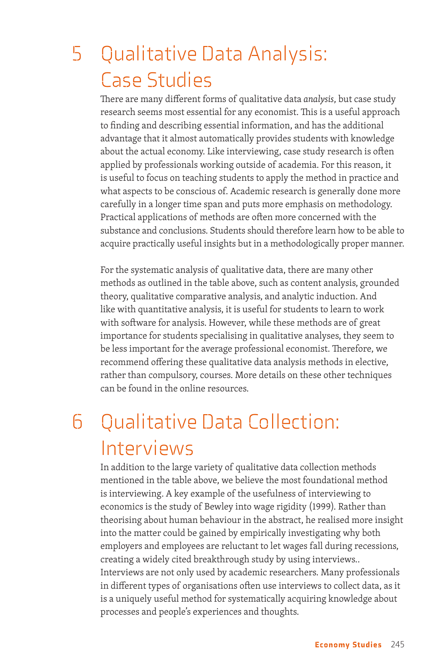## 5 Qualitative Data Analysis: Case Studies

There are many different forms of qualitative data *analysis*, but case study research seems most essential for any economist. This is a useful approach to finding and describing essential information, and has the additional advantage that it almost automatically provides students with knowledge about the actual economy. Like interviewing, case study research is often applied by professionals working outside of academia. For this reason, it is useful to focus on teaching students to apply the method in practice and what aspects to be conscious of. Academic research is generally done more carefully in a longer time span and puts more emphasis on methodology. Practical applications of methods are often more concerned with the substance and conclusions. Students should therefore learn how to be able to acquire practically useful insights but in a methodologically proper manner.

For the systematic analysis of qualitative data, there are many other methods as outlined in the table above, such as content analysis, grounded theory, qualitative comparative analysis, and analytic induction. And like with quantitative analysis, it is useful for students to learn to work with software for analysis. However, while these methods are of great importance for students specialising in qualitative analyses, they seem to be less important for the average professional economist. Therefore, we recommend offering these qualitative data analysis methods in elective, rather than compulsory, courses. More details on these other techniques can be found in the online resources.

## 6 Qualitative Data Collection: Interviews

In addition to the large variety of qualitative data collection methods mentioned in the table above, we believe the most foundational method is interviewing. A key example of the usefulness of interviewing to economics is the study of Bewley into wage rigidity (1999). Rather than theorising about human behaviour in the abstract, he realised more insight into the matter could be gained by empirically investigating why both employers and employees are reluctant to let wages fall during recessions, creating a widely cited breakthrough study by using interviews.. Interviews are not only used by academic researchers. Many professionals in different types of organisations often use interviews to collect data, as it is a uniquely useful method for systematically acquiring knowledge about processes and people's experiences and thoughts.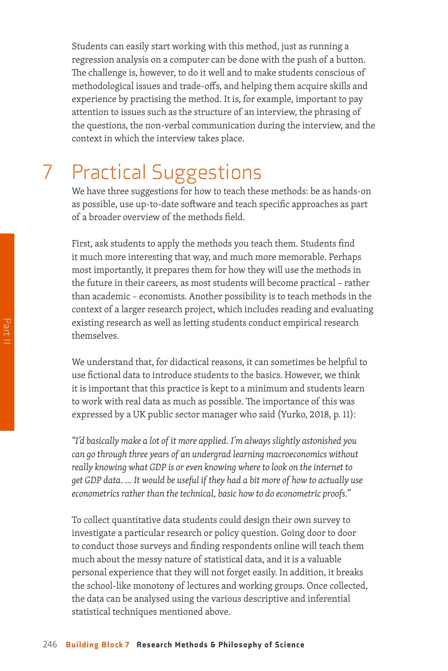Students can easily start working with this method, just as running a regression analysis on a computer can be done with the push of a button. The challenge is, however, to do it well and to make students conscious of methodological issues and trade-offs, and helping them acquire skills and experience by practising the method. It is, for example, important to pay attention to issues such as the structure of an interview, the phrasing of the questions, the non-verbal communication during the interview, and the context in which the interview takes place.

#### 7 Practical Suggestions

We have three suggestions for how to teach these methods: be as hands-on as possible, use up-to-date software and teach specific approaches as part of a broader overview of the methods field.

First, ask students to apply the methods you teach them. Students find it much more interesting that way, and much more memorable. Perhaps most importantly, it prepares them for how they will use the methods in the future in their careers, as most students will become practical – rather than academic – economists. Another possibility is to teach methods in the context of a larger research project, which includes reading and evaluating existing research as well as letting students conduct empirical research themselves.

We understand that, for didactical reasons, it can sometimes be helpful to use fictional data to introduce students to the basics. However, we think it is important that this practice is kept to a minimum and students learn to work with real data as much as possible. The importance of this was expressed by a UK public sector manager who said (Yurko, 2018, p. 11):

*"I'd basically make a lot of it more applied. I'm always slightly astonished you can go through three years of an undergrad learning macroeconomics without really knowing what GDP is or even knowing where to look on the internet to get GDP data. … It would be useful if they had a bit more of how to actually use econometrics rather than the technical, basic how to do econometric proofs."*

To collect quantitative data students could design their own survey to investigate a particular research or policy question. Going door to door to conduct those surveys and finding respondents online will teach them much about the messy nature of statistical data, and it is a valuable personal experience that they will not forget easily. In addition, it breaks the school-like monotony of lectures and working groups. Once collected, the data can be analysed using the various descriptive and inferential statistical techniques mentioned above.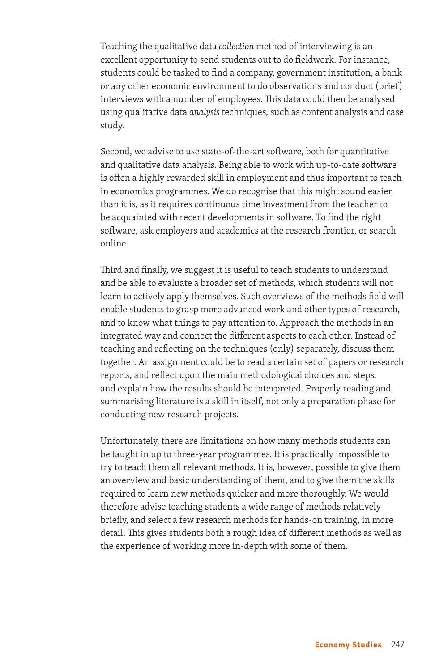Teaching the qualitative data *collection* method of interviewing is an excellent opportunity to send students out to do fieldwork. For instance, students could be tasked to find a company, government institution, a bank or any other economic environment to do observations and conduct (brief) interviews with a number of employees. This data could then be analysed using qualitative data *analysis* techniques, such as content analysis and case study.

Second, we advise to use state-of-the-art software, both for quantitative and qualitative data analysis. Being able to work with up-to-date software is often a highly rewarded skill in employment and thus important to teach in economics programmes. We do recognise that this might sound easier than it is, as it requires continuous time investment from the teacher to be acquainted with recent developments in software. To find the right software, ask employers and academics at the research frontier, or search online.

Third and finally, we suggest it is useful to teach students to understand and be able to evaluate a broader set of methods, which students will not learn to actively apply themselves. Such overviews of the methods field will enable students to grasp more advanced work and other types of research, and to know what things to pay attention to. Approach the methods in an integrated way and connect the different aspects to each other. Instead of teaching and reflecting on the techniques (only) separately, discuss them together. An assignment could be to read a certain set of papers or research reports, and reflect upon the main methodological choices and steps, and explain how the results should be interpreted. Properly reading and summarising literature is a skill in itself, not only a preparation phase for conducting new research projects.

Unfortunately, there are limitations on how many methods students can be taught in up to three-year programmes. It is practically impossible to try to teach them all relevant methods. It is, however, possible to give them an overview and basic understanding of them, and to give them the skills required to learn new methods quicker and more thoroughly. We would therefore advise teaching students a wide range of methods relatively briefly, and select a few research methods for hands-on training, in more detail. This gives students both a rough idea of different methods as well as the experience of working more in-depth with some of them.